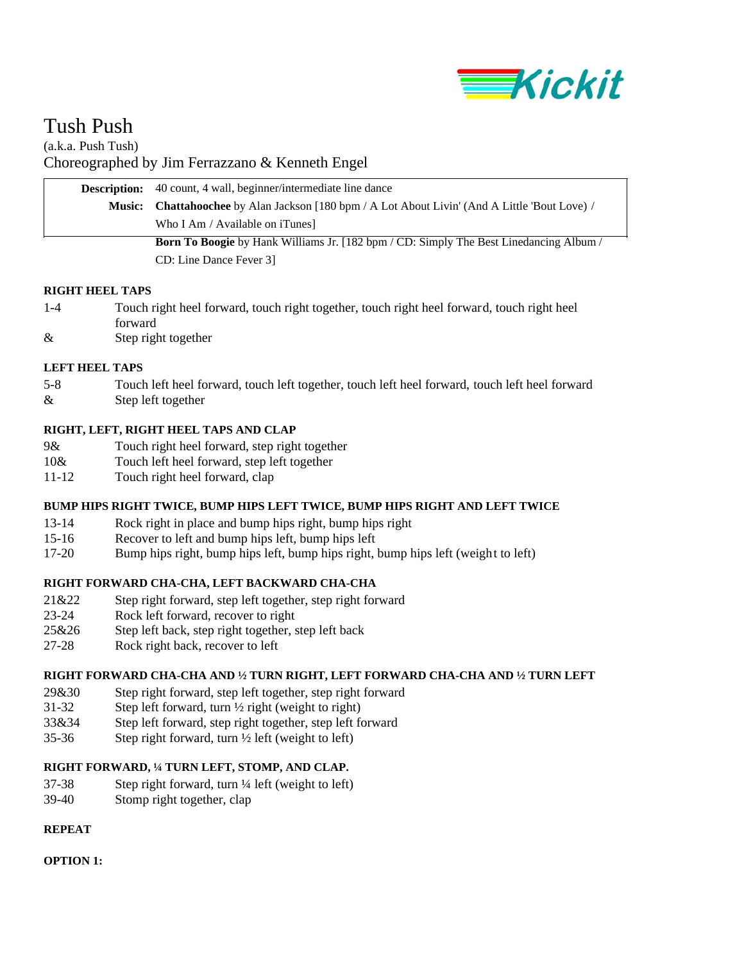

# Tush Push

(a.k.a. Push Tush) Choreographed by Jim Ferrazzano & Kenneth Engel

| <b>Description:</b> 40 count, 4 wall, beginner/intermediate line dance                                |
|-------------------------------------------------------------------------------------------------------|
| <b>Music:</b> Chattahoochee by Alan Jackson [180 bpm / A Lot About Livin' (And A Little 'Bout Love) / |
| Who I Am / Available on iTunes]                                                                       |
| <b>Born To Boogie</b> by Hank Williams Jr. [182 bpm / CD: Simply The Best Linedancing Album /         |
| CD: Line Dance Fever 31                                                                               |

#### **RIGHT HEEL TAPS**

- 1-4 Touch right heel forward, touch right together, touch right heel forward, touch right heel forward
- & Step right together

## **LEFT HEEL TAPS**

5-8 Touch left heel forward, touch left together, touch left heel forward, touch left heel forward & Step left together

# **RIGHT, LEFT, RIGHT HEEL TAPS AND CLAP**

- 9& Touch right heel forward, step right together
- 10& Touch left heel forward, step left together
- 11-12 Touch right heel forward, clap

#### **BUMP HIPS RIGHT TWICE, BUMP HIPS LEFT TWICE, BUMP HIPS RIGHT AND LEFT TWICE**

- 13-14 Rock right in place and bump hips right, bump hips right
- 15-16 Recover to left and bump hips left, bump hips left
- 17-20 Bump hips right, bump hips left, bump hips right, bump hips left (weight to left)

# **RIGHT FORWARD CHA-CHA, LEFT BACKWARD CHA-CHA**

- 21&22 Step right forward, step left together, step right forward
- 23-24 Rock left forward, recover to right
- 25&26 Step left back, step right together, step left back
- 27-28 Rock right back, recover to left

#### **RIGHT FORWARD CHA-CHA AND ½ TURN RIGHT, LEFT FORWARD CHA-CHA AND ½ TURN LEFT**

- 29&30 Step right forward, step left together, step right forward
- 31-32 Step left forward, turn ½ right (weight to right)
- 33&34 Step left forward, step right together, step left forward
- 35-36 Step right forward, turn  $\frac{1}{2}$  left (weight to left)

# **RIGHT FORWARD, ¼ TURN LEFT, STOMP, AND CLAP.**

- $37-38$  Step right forward, turn  $\frac{1}{4}$  left (weight to left)
- 39-40 Stomp right together, clap

#### **REPEAT**

#### **OPTION 1:**